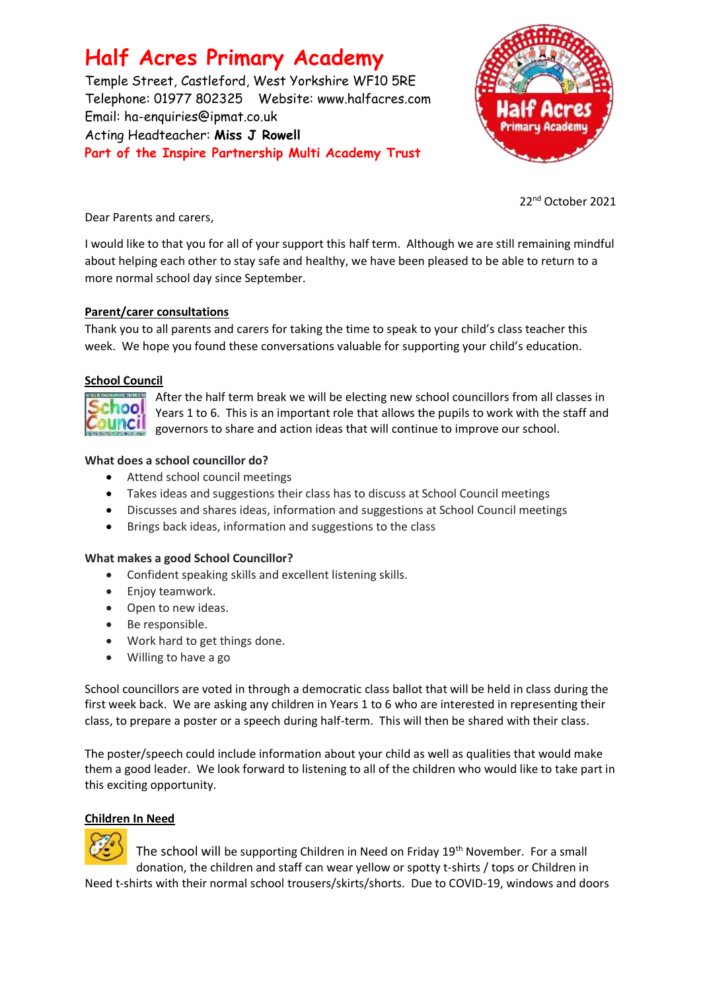# **Half Acres Primary Academy**

Temple Street, Castleford, West Yorkshire WF10 5RE Telephone: 01977 802325 Website: [www.halfacres.com](http://www.halfacres.com/) Email: ha-enquiries@ipmat.co.uk Acting Headteacher: **Miss J Rowell Part of the Inspire Partnership Multi Academy Trust**



22 nd October 2021

Dear Parents and carers,

I would like to that you for all of your support this half term. Although we are still remaining mindful about helping each other to stay safe and healthy, we have been pleased to be able to return to a more normal school day since September.

# **Parent/carer consultations**

Thank you to all parents and carers for taking the time to speak to your child's class teacher this week. We hope you found these conversations valuable for supporting your child's education.

# **School Council**



After the half term break we will be electing new school councillors from all classes in Years 1 to 6. This is an important role that allows the pupils to work with the staff and governors to share and action ideas that will continue to improve our school.

# **What does a school councillor do?**

- Attend school council meetings
- Takes ideas and suggestions their class has to discuss at School Council meetings
- Discusses and shares ideas, information and suggestions at School Council meetings
- Brings back ideas, information and suggestions to the class

# **What makes a good School Councillor?**

- Confident speaking skills and excellent listening skills.
- Enjoy teamwork.
- Open to new ideas.
- Be responsible.
- Work hard to get things done.
- Willing to have a go

School councillors are voted in through a democratic class ballot that will be held in class during the first week back. We are asking any children in Years 1 to 6 who are interested in representing their class, to prepare a poster or a speech during half-term. This will then be shared with their class.

The poster/speech could include information about your child as well as qualities that would make them a good leader. We look forward to listening to all of the children who would like to take part in this exciting opportunity.

# **Children In Need**



The school will be supporting Children in Need on Friday 19th November. For a small donation, the children and staff can wear yellow or spotty t-shirts / tops or Children in Need t-shirts with their normal school trousers/skirts/shorts. Due to COVID-19, windows and doors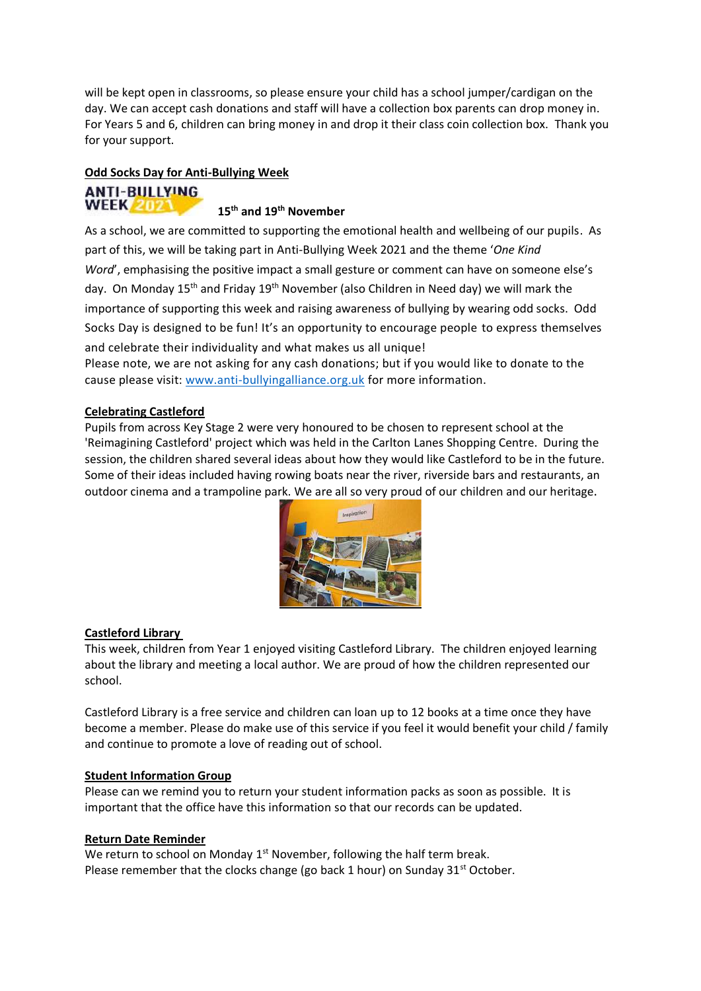will be kept open in classrooms, so please ensure your child has a school jumper/cardigan on the day. We can accept cash donations and staff will have a collection box parents can drop money in. For Years 5 and 6, children can bring money in and drop it their class coin collection box. Thank you for your support.

# **Odd Socks Day for Anti-Bullying Week**

#### **ANTI-BULLYING WEEK 2021**

# **15th and 19th November**

As a school, we are committed to supporting the emotional health and wellbeing of our pupils. As part of this, we will be taking part in Anti-Bullying Week 2021 and the theme '*One Kind Word'*, emphasising the positive impact a small gesture or comment can have on someone else's day. On Monday 15<sup>th</sup> and Friday 19<sup>th</sup> November (also Children in Need day) we will mark the importance of supporting this week and raising awareness of bullying by wearing odd socks. Odd Socks Day is designed to be fun! It's an opportunity to encourage people to express themselves and celebrate their individuality and what makes us all unique!

Please note, we are not asking for any cash donations; but if you would like to donate to the cause please visit: [www.anti-bullyingalliance.org.uk](http://www.anti-bullyingalliance.org.uk/) for more information.

## **Celebrating Castleford**

Pupils from across Key Stage 2 were very honoured to be chosen to represent school at the 'Reimagining Castleford' project which was held in the Carlton Lanes Shopping Centre. During the session, the children shared several ideas about how they would like Castleford to be in the future. Some of their ideas included having rowing boats near the river, riverside bars and restaurants, an outdoor cinema and a trampoline park. We are all so very proud of our children and our heritage.



# **Castleford Library**

This week, children from Year 1 enjoyed visiting Castleford Library. The children enjoyed learning about the library and meeting a local author. We are proud of how the children represented our school.

Castleford Library is a free service and children can loan up to 12 books at a time once they have become a member. Please do make use of this service if you feel it would benefit your child / family and continue to promote a love of reading out of school.

#### **Student Information Group**

Please can we remind you to return your student information packs as soon as possible. It is important that the office have this information so that our records can be updated.

#### **Return Date Reminder**

We return to school on Monday  $1<sup>st</sup>$  November, following the half term break. Please remember that the clocks change (go back 1 hour) on Sunday  $31<sup>st</sup>$  October.